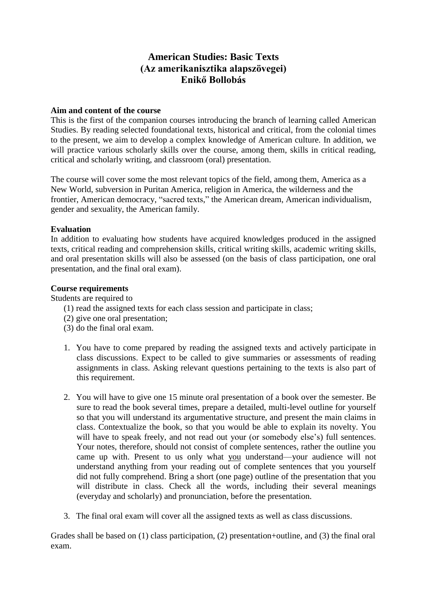# **American Studies: Basic Texts (Az amerikanisztika alapszövegei) Enikő Bollobás**

# **Aim and content of the course**

This is the first of the companion courses introducing the branch of learning called American Studies. By reading selected foundational texts, historical and critical, from the colonial times to the present, we aim to develop a complex knowledge of American culture. In addition, we will practice various scholarly skills over the course, among them, skills in critical reading, critical and scholarly writing, and classroom (oral) presentation.

The course will cover some the most relevant topics of the field, among them, America as a New World, subversion in Puritan America, religion in America, the wilderness and the frontier, American democracy, "sacred texts," the American dream, American individualism, gender and sexuality, the American family.

# **Evaluation**

In addition to evaluating how students have acquired knowledges produced in the assigned texts, critical reading and comprehension skills, critical writing skills, academic writing skills, and oral presentation skills will also be assessed (on the basis of class participation, one oral presentation, and the final oral exam).

# **Course requirements**

Students are required to

- (1) read the assigned texts for each class session and participate in class;
- (2) give one oral presentation;
- (3) do the final oral exam.
- 1. You have to come prepared by reading the assigned texts and actively participate in class discussions. Expect to be called to give summaries or assessments of reading assignments in class. Asking relevant questions pertaining to the texts is also part of this requirement.
- 2. You will have to give one 15 minute oral presentation of a book over the semester. Be sure to read the book several times, prepare a detailed, multi-level outline for yourself so that you will understand its argumentative structure, and present the main claims in class. Contextualize the book, so that you would be able to explain its novelty. You will have to speak freely, and not read out your (or somebody else's) full sentences. Your notes, therefore, should not consist of complete sentences, rather the outline you came up with. Present to us only what you understand—your audience will not understand anything from your reading out of complete sentences that you yourself did not fully comprehend. Bring a short (one page) outline of the presentation that you will distribute in class. Check all the words, including their several meanings (everyday and scholarly) and pronunciation, before the presentation.
- 3. The final oral exam will cover all the assigned texts as well as class discussions.

Grades shall be based on (1) class participation, (2) presentation+outline, and (3) the final oral exam.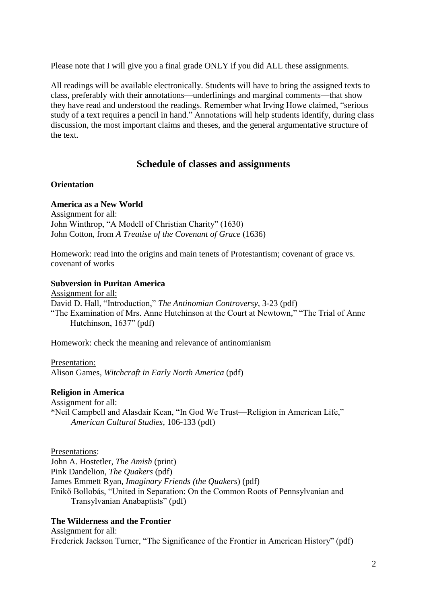Please note that I will give you a final grade ONLY if you did ALL these assignments.

All readings will be available electronically. Students will have to bring the assigned texts to class, preferably with their annotations—underlinings and marginal comments—that show they have read and understood the readings. Remember what Irving Howe claimed, "serious study of a text requires a pencil in hand." Annotations will help students identify, during class discussion, the most important claims and theses, and the general argumentative structure of the text.

# **Schedule of classes and assignments**

### **Orientation**

### **America as a New World**

Assignment for all: John Winthrop, "A Modell of Christian Charity" (1630) John Cotton, from *A Treatise of the Covenant of Grace* (1636)

Homework: read into the origins and main tenets of Protestantism; covenant of grace vs. covenant of works

# **Subversion in Puritan America**

Assignment for all: David D. Hall, "Introduction," *The Antinomian Controversy*, 3-23 (pdf) "The Examination of Mrs. Anne Hutchinson at the Court at Newtown," "The Trial of Anne Hutchinson, 1637" (pdf)

Homework: check the meaning and relevance of antinomianism

Presentation: Alison Games, *Witchcraft in Early North America* (pdf)

# **Religion in America**

Assignment for all: \*Neil Campbell and Alasdair Kean, "In God We Trust—Religion in American Life," *American Cultural Studies*, 106-133 (pdf)

Presentations: John A. Hostetler, *The Amish* (print) Pink Dandelion, *The Quakers* (pdf) James Emmett Ryan, *Imaginary Friends (the Quakers*) (pdf) Enikő Bollobás, "United in Separation: On the Common Roots of Pennsylvanian and Transylvanian Anabaptists" (pdf)

# **The Wilderness and the Frontier**

Assignment for all: Frederick Jackson Turner, "The Significance of the Frontier in American History" (pdf)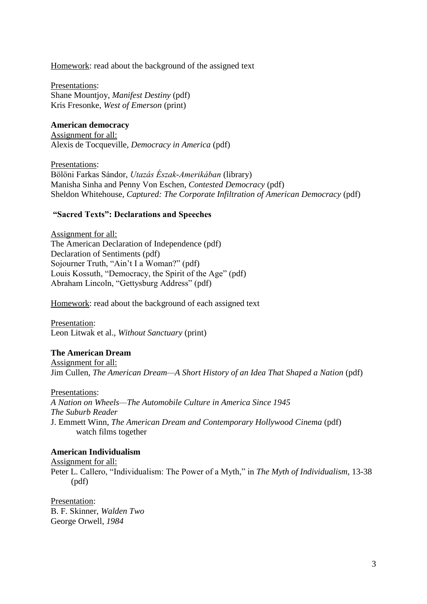Homework: read about the background of the assigned text

Presentations: Shane Mountjoy, *Manifest Destiny* (pdf) Kris Fresonke, *West of Emerson* (print)

**American democracy** Assignment for all: Alexis de Tocqueville, *Democracy in America* (pdf)

Presentations: Bölöni Farkas Sándor, *Utazás Észak-Amerikában* (library) Manisha Sinha and Penny Von Eschen, *Contested Democracy* (pdf) Sheldon Whitehouse, *Captured: The Corporate Infiltration of American Democracy* (pdf)

#### **"Sacred Texts": Declarations and Speeches**

Assignment for all: The American Declaration of Independence (pdf) Declaration of Sentiments (pdf) Sojourner Truth, "Ain't I a Woman?" (pdf) Louis Kossuth, "Democracy, the Spirit of the Age" (pdf) Abraham Lincoln, "Gettysburg Address" (pdf)

Homework: read about the background of each assigned text

Presentation: Leon Litwak et al., *Without Sanctuary* (print)

### **The American Dream**

Assignment for all: Jim Cullen, *The American Dream—A Short History of an Idea That Shaped a Nation* (pdf)

Presentations: *A Nation on Wheels—The Automobile Culture in America Since 1945 The Suburb Reader* J. Emmett Winn, *The American Dream and Contemporary Hollywood Cinema* (pdf) watch films together

#### **American Individualism**

Assignment for all: Peter L. Callero, "Individualism: The Power of a Myth," in *The Myth of Individualism*, 13-38 (pdf)

Presentation: B. F. Skinner, *Walden Two* George Orwell, *1984*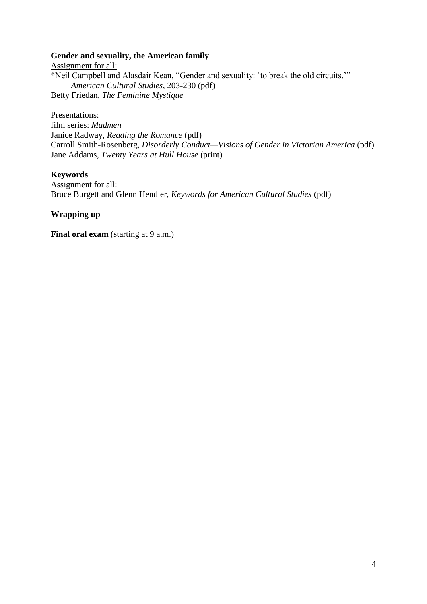# **Gender and sexuality, the American family**

Assignment for all: \*Neil Campbell and Alasdair Kean, "Gender and sexuality: 'to break the old circuits,'" *American Cultural Studies*, 203-230 (pdf) Betty Friedan, *The Feminine Mystique*

Presentations:

film series: *Madmen* Janice Radway, *Reading the Romance* (pdf) Carroll Smith-Rosenberg, *Disorderly Conduct—Visions of Gender in Victorian America* (pdf) Jane Addams, *Twenty Years at Hull House* (print)

# **Keywords**

Assignment for all: Bruce Burgett and Glenn Hendler, *Keywords for American Cultural Studies* (pdf)

**Wrapping up**

**Final oral exam** (starting at 9 a.m.)